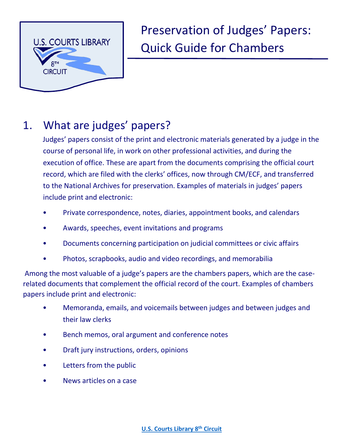

#### 1. What are judges' papers?

Judges' papers consist of the print and electronic materials generated by a judge in the course of personal life, in work on other professional activities, and during the execution of office. These are apart from the documents comprising the official court record, which are filed with the clerks' offices, now through CM/ECF, and transferred to the National Archives for preservation. Examples of materials in judges' papers include print and electronic:

- Private correspondence, notes, diaries, appointment books, and calendars
- Awards, speeches, event invitations and programs
- Documents concerning participation on judicial committees or civic affairs
- Photos, scrapbooks, audio and video recordings, and memorabilia

Among the most valuable of a judge's papers are the chambers papers, which are the caserelated documents that complement the official record of the court. Examples of chambers papers include print and electronic:

- Memoranda, emails, and voicemails between judges and between judges and their law clerks
- Bench memos, oral argument and conference notes
- Draft jury instructions, orders, opinions
- Letters from the public
- News articles on a case

**[U.S. Courts Library 8th](http://www.circ8.dcn/library/default.aspx) Circuit**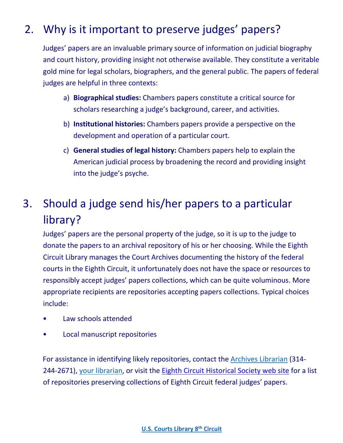### 2. Why is it important to preserve judges' papers?

Judges' papers are an invaluable primary source of information on judicial biography and court history, providing insight not otherwise available. They constitute a veritable gold mine for legal scholars, biographers, and the general public. The papers of federal judges are helpful in three contexts:

- a) **Biographical studies:** Chambers papers constitute a critical source for scholars researching a judge's background, career, and activities.
- b) **Institutional histories:** Chambers papers provide a perspective on the development and operation of a particular court.
- c) **General studies of legal history:** Chambers papers help to explain the American judicial process by broadening the record and providing insight into the judge's psyche.

# 3. Should a judge send his/her papers to a particular library?

Judges' papers are the personal property of the judge, so it is up to the judge to donate the papers to an archival repository of his or her choosing. While the Eighth Circuit Library manages the Court Archives documenting the history of the federal courts in the Eighth Circuit, it unfortunately does not have the space or resources to responsibly accept judges' papers collections, which can be quite voluminous. More appropriate recipients are repositories accepting papers collections. Typical choices include:

- Law schools attended
- Local manuscript repositories

For assistance in identifying likely repositories, contact the [Archives Librarian](mailto:joan_voelker@ca8.uscourts.gov) (314- 244-2671), [your librarian,](http://www.circ8.dcn/library/librarydirectory/Forms/AllItems.aspx) or visit the [Eighth Circuit Historical Society web site](http://www.lb8.uscourts.gov/pubsandservices/histsociety/hist_society.html) for a list of repositories preserving collections of Eighth Circuit federal judges' papers.